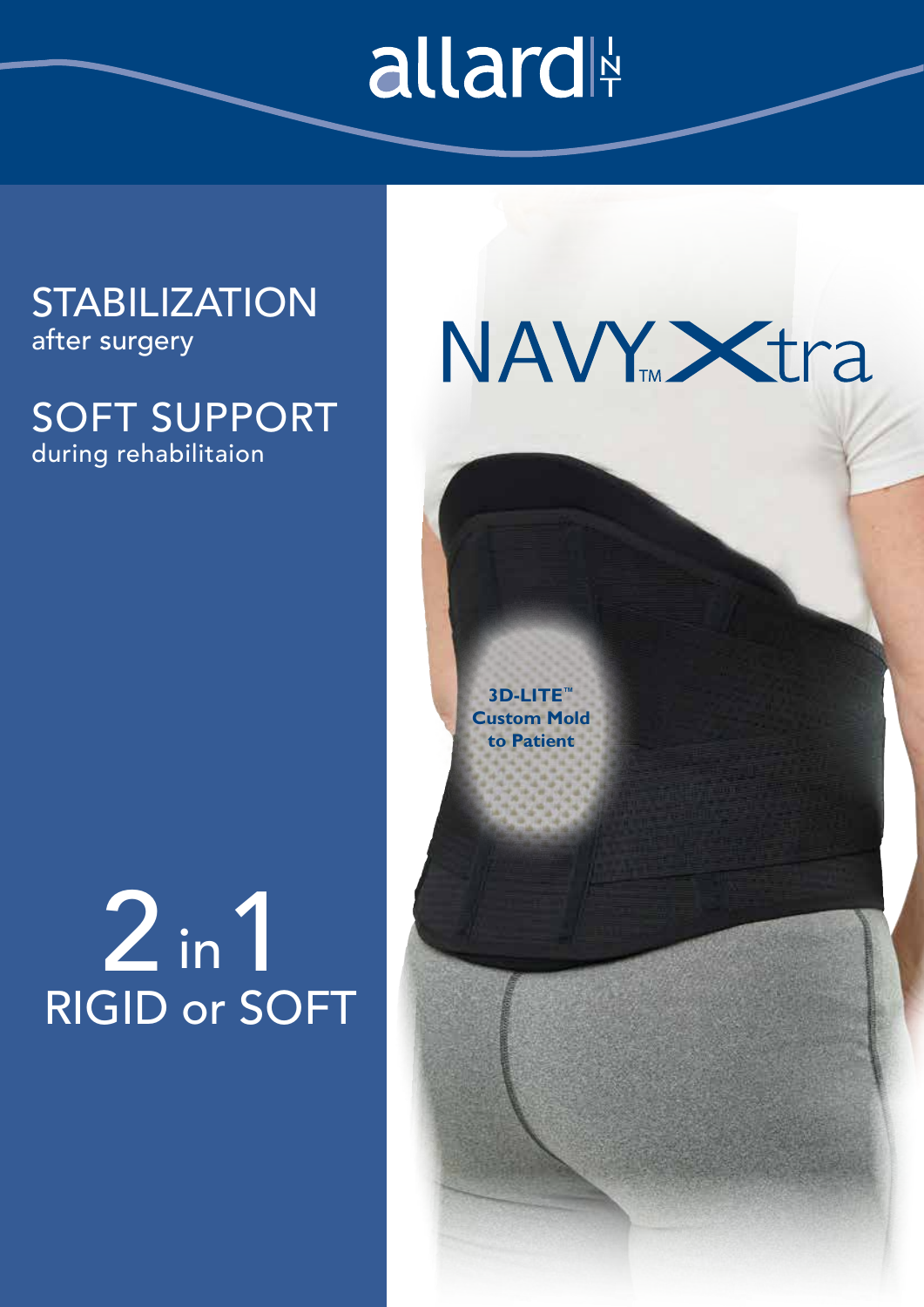# allard

### **STABILIZATION** after surgery

### SOFT SUPPORT during rehabilitaion

### in RIGID or SOFT  $2 \cdot 1$



**3D-LITE™ Custom Mold to Patient**